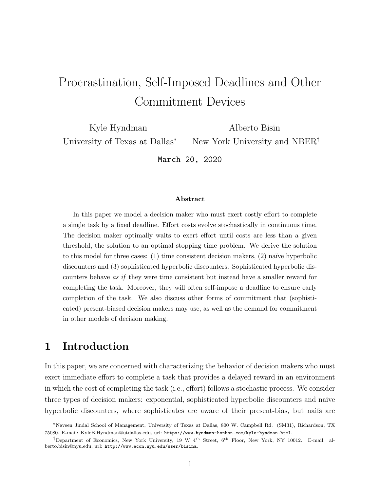# Procrastination, Self-Imposed Deadlines and Other Commitment Devices

Kyle Hyndman University of Texas at Dallas\* Alberto Bisin

New York University and NBER

March 20, 2020

#### Abstract

In this paper we model a decision maker who must exert costly effort to complete a single task by a fixed deadline. Effort costs evolve stochastically in continuous time. The decision maker optimally waits to exert effort until costs are less than a given threshold, the solution to an optimal stopping time problem. We derive the solution to this model for three cases:  $(1)$  time consistent decision makers,  $(2)$  naïve hyperbolic discounters and (3) sophisticated hyperbolic discounters. Sophisticated hyperbolic discounters behave as if they were time consistent but instead have a smaller reward for completing the task. Moreover, they will often self-impose a deadline to ensure early completion of the task. We also discuss other forms of commitment that (sophisticated) present-biased decision makers may use, as well as the demand for commitment in other models of decision making.

## 1 Introduction

In this paper, we are concerned with characterizing the behavior of decision makers who must exert immediate effort to complete a task that provides a delayed reward in an environment in which the cost of completing the task (i.e., effort) follows a stochastic process. We consider three types of decision makers: exponential, sophisticated hyperbolic discounters and naive hyperbolic discounters, where sophisticates are aware of their present-bias, but naifs are

<sup>\*</sup>Naveen Jindal School of Management, University of Texas at Dallas, 800 W. Campbell Rd. (SM31), Richardson, TX 75080. E-mail: [KyleB.Hyndman@utdallas.edu,](mailto:KyleB.Hyndman@utdallas.edu) url: <https://www.hyndman-honhon.com/kyle-hyndman.html>.

Department of Economics, New York University, 19 W 4th Street, 6th Floor, New York, NY 10012. E-mail: [al](mailto:alberto.bisin@nyu.edu)[berto.bisin@nyu.edu,](mailto:alberto.bisin@nyu.edu) url: <http://www.econ.nyu.edu/user/bisina>.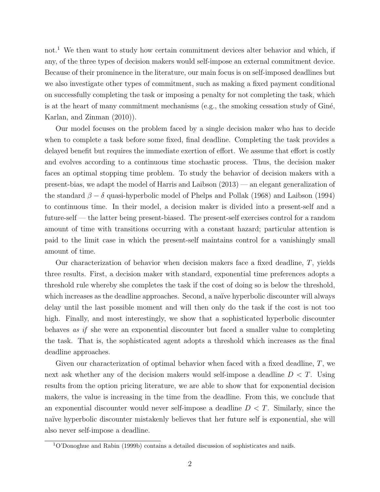not.<sup>[1](#page-1-0)</sup> We then want to study how certain commitment devices alter behavior and which, if any, of the three types of decision makers would self-impose an external commitment device. Because of their prominence in the literature, our main focus is on self-imposed deadlines but we also investigate other types of commitment, such as making a fixed payment conditional on successfully completing the task or imposing a penalty for not completing the task, which is at the heart of many commitment mechanisms (e.g., the smoking cessation study of  $Gini$ e, [Karlan, and Zinman](#page-19-0) [\(2010\)](#page-19-0)).

Our model focuses on the problem faced by a single decision maker who has to decide when to complete a task before some fixed, final deadline. Completing the task provides a delayed benefit but requires the immediate exertion of effort. We assume that effort is costly and evolves according to a continuous time stochastic process. Thus, the decision maker faces an optimal stopping time problem. To study the behavior of decision makers with a present-bias, we adapt the model of [Harris and Laibson](#page-19-1) [\(2013\)](#page-19-1) — an elegant generalization of the standard  $\beta - \delta$  quasi-hyperbolic model of [Phelps and Pollak](#page-20-0) [\(1968\)](#page-20-0) and [Laibson](#page-20-1) [\(1994\)](#page-20-1) to continuous time. In their model, a decision maker is divided into a present-self and a future-self — the latter being present-biased. The present-self exercises control for a random amount of time with transitions occurring with a constant hazard; particular attention is paid to the limit case in which the present-self maintains control for a vanishingly small amount of time.

Our characterization of behavior when decision makers face a fixed deadline, T, yields three results. First, a decision maker with standard, exponential time preferences adopts a threshold rule whereby she completes the task if the cost of doing so is below the threshold, which increases as the deadline approaches. Second, a naïve hyperbolic discounter will always delay until the last possible moment and will then only do the task if the cost is not too high. Finally, and most interestingly, we show that a sophisticated hyperbolic discounter behaves as if she were an exponential discounter but faced a smaller value to completing the task. That is, the sophisticated agent adopts a threshold which increases as the final deadline approaches.

Given our characterization of optimal behavior when faced with a fixed deadline,  $T$ , we next ask whether any of the decision makers would self-impose a deadline  $D < T$ . Using results from the option pricing literature, we are able to show that for exponential decision makers, the value is increasing in the time from the deadline. From this, we conclude that an exponential discounter would never self-impose a deadline  $D < T$ . Similarly, since the naïve hyperbolic discounter mistakenly believes that her future self is exponential, she will also never self-impose a deadline.

<span id="page-1-0"></span><sup>1</sup>[O'Donoghue and Rabin](#page-20-2) [\(1999b\)](#page-20-2) contains a detailed discussion of sophisticates and naifs.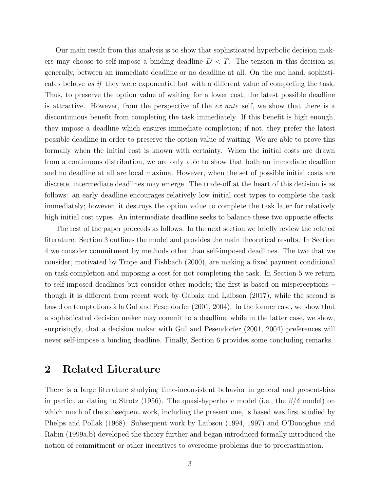Our main result from this analysis is to show that sophisticated hyperbolic decision makers may choose to self-impose a binding deadline  $D < T$ . The tension in this decision is, generally, between an immediate deadline or no deadline at all. On the one hand, sophisticates behave as if they were exponential but with a different value of completing the task. Thus, to preserve the option value of waiting for a lower cost, the latest possible deadline is attractive. However, from the perspective of the ex ante self, we show that there is a discontinuous benefit from completing the task immediately. If this benefit is high enough, they impose a deadline which ensures immediate completion; if not, they prefer the latest possible deadline in order to preserve the option value of waiting. We are able to prove this formally when the initial cost is known with certainty. When the initial costs are drawn from a continuous distribution, we are only able to show that both an immediate deadline and no deadline at all are local maxima. However, when the set of possible initial costs are discrete, intermediate deadlines may emerge. The trade-off at the heart of this decision is as follows: an early deadline encourages relatively low initial cost types to complete the task immediately; however, it destroys the option value to complete the task later for relatively high initial cost types. An intermediate deadline seeks to balance these two opposite effects.

The rest of the paper proceeds as follows. In the next section we briefly review the related literature. Section [3](#page-4-0) outlines the model and provides the main theoretical results. In Section [4](#page-12-0) we consider commitment by methods other than self-imposed deadlines. The two that we consider, motivated by [Trope and Fishbach](#page-20-3) [\(2000\)](#page-20-3), are making a fixed payment conditional on task completion and imposing a cost for not completing the task. In Section [5](#page-15-0) we return to self-imposed deadlines but consider other models; the first is based on misperceptions – though it is different from recent work by [Gabaix and Laibson](#page-19-2) [\(2017\)](#page-19-2), while the second is based on temptations  $\grave{a}$  la [Gul and Pesendorfer](#page-19-3) [\(2001,](#page-19-3) [2004\)](#page-19-4). In the former case, we show that a sophisticated decision maker may commit to a deadline, while in the latter case, we show, surprisingly, that a decision maker with [Gul and Pesendorfer](#page-19-3) [\(2001,](#page-19-3) [2004\)](#page-19-4) preferences will never self-impose a binding deadline. Finally, Section [6](#page-17-0) provides some concluding remarks.

### 2 Related Literature

There is a large literature studying time-inconsistent behavior in general and present-bias in particular dating to [Strotz](#page-20-4) [\(1956\)](#page-20-4). The quasi-hyperbolic model (i.e., the  $\beta/\delta$  model) on which much of the subsequent work, including the present one, is based was first studied by [Phelps and Pollak](#page-20-0) [\(1968\)](#page-20-0). Subsequent work by [Laibson](#page-20-1) [\(1994,](#page-20-1) [1997\)](#page-20-5) and [O'Donoghue and](#page-20-6) [Rabin](#page-20-6) [\(1999a](#page-20-6)[,b\)](#page-20-2) developed the theory further and began introduced formally introduced the notion of commitment or other incentives to overcome problems due to procrastination.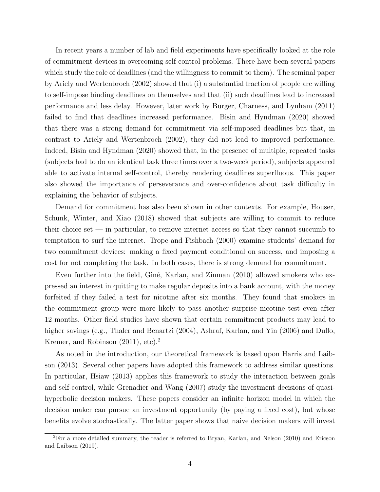In recent years a number of lab and field experiments have specifically looked at the role of commitment devices in overcoming self-control problems. There have been several papers which study the role of deadlines (and the willingness to commit to them). The seminal paper by [Ariely and Wertenbroch](#page-18-0) [\(2002\)](#page-18-0) showed that (i) a substantial fraction of people are willing to self-impose binding deadlines on themselves and that (ii) such deadlines lead to increased performance and less delay. However, later work by [Burger, Charness, and Lynham](#page-18-1) [\(2011\)](#page-18-1) failed to find that deadlines increased performance. [Bisin and Hyndman](#page-18-2) [\(2020\)](#page-18-2) showed that there was a strong demand for commitment via self-imposed deadlines but that, in contrast to [Ariely and Wertenbroch](#page-18-0) [\(2002\)](#page-18-0), they did not lead to improved performance. Indeed, [Bisin and Hyndman](#page-18-2) [\(2020\)](#page-18-2) showed that, in the presence of multiple, repeated tasks (subjects had to do an identical task three times over a two-week period), subjects appeared able to activate internal self-control, thereby rendering deadlines superfluous. This paper also showed the importance of perseverance and over-confidence about task difficulty in explaining the behavior of subjects.

Demand for commitment has also been shown in other contexts. For example, [Houser,](#page-19-5) [Schunk, Winter, and Xiao](#page-19-5) [\(2018\)](#page-19-5) showed that subjects are willing to commit to reduce their choice set — in particular, to remove internet access so that they cannot succumb to temptation to surf the internet. [Trope and Fishbach](#page-20-3) [\(2000\)](#page-20-3) examine students' demand for two commitment devices: making a fixed payment conditional on success, and imposing a cost for not completing the task. In both cases, there is strong demand for commitment.

Even further into the field, Giné, Karlan, and Zinman [\(2010\)](#page-19-0) allowed smokers who expressed an interest in quitting to make regular deposits into a bank account, with the money forfeited if they failed a test for nicotine after six months. They found that smokers in the commitment group were more likely to pass another surprise nicotine test even after 12 months. Other field studies have shown that certain commitment products may lead to higher savings (e.g., [Thaler and Benartzi](#page-20-7) [\(2004\)](#page-20-7), [Ashraf, Karlan, and Yin](#page-18-3) [\(2006\)](#page-18-3) and [Duflo,](#page-19-6) [Kremer, and Robinson](#page-19-6)  $(2011)$ , etc).<sup>[2](#page-3-0)</sup>

As noted in the introduction, our theoretical framework is based upon [Harris and Laib](#page-19-1)[son](#page-19-1) [\(2013\)](#page-19-1). Several other papers have adopted this framework to address similar questions. In particular, [Hsiaw](#page-19-7) [\(2013\)](#page-19-7) applies this framework to study the interaction between goals and self-control, while [Grenadier and Wang](#page-19-8) [\(2007\)](#page-19-8) study the investment decisions of quasihyperbolic decision makers. These papers consider an infinite horizon model in which the decision maker can pursue an investment opportunity (by paying a fixed cost), but whose benefits evolve stochastically. The latter paper shows that naive decision makers will invest

<span id="page-3-0"></span><sup>2</sup>For a more detailed summary, the reader is referred to [Bryan, Karlan, and Nelson](#page-18-4) [\(2010\)](#page-18-4) and [Ericson](#page-19-9) [and Laibson](#page-19-9) [\(2019\)](#page-19-9).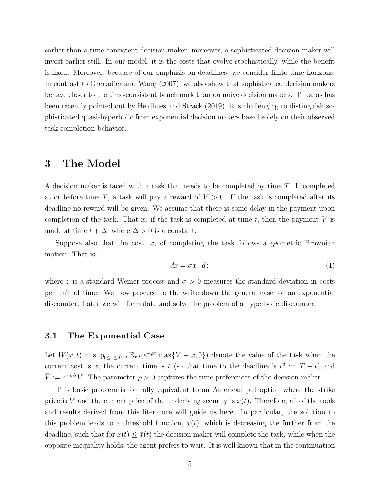earlier than a time-consistent decision maker; moreover, a sophisticated decision maker will invest earlier still. In our model, it is the costs that evolve stochastically, while the benefit is fixed. Moreover, because of our emphasis on deadlines, we consider finite time horizons. In contrast to [Grenadier and Wang](#page-19-8) [\(2007\)](#page-19-8), we also show that sophisticated decision makers behave closer to the time-consistent benchmark than do naive decision makers. Thus, as has been recently pointed out by [Heidhues and Strack](#page-19-10) [\(2019\)](#page-19-10), it is challenging to distinguish sophisticated quasi-hyperbolic from exponential decision makers based solely on their observed task completion behavior.

### <span id="page-4-0"></span>3 The Model

A decision maker is faced with a task that needs to be completed by time T. If completed at or before time T, a task will pay a reward of  $V > 0$ . If the task is completed after its deadline no reward will be given. We assume that there is some delay in the payment upon completion of the task. That is, if the task is completed at time  $t$ , then the payment V is made at time  $t + \Delta$ , where  $\Delta > 0$  is a constant.

Suppose also that the cost,  $x$ , of completing the task follows a geometric Brownian motion. That is:

$$
dx = \sigma x \cdot dz \tag{1}
$$

where z is a standard Weiner process and  $\sigma > 0$  measures the standard deviation in costs per unit of time. We now proceed to the write down the general case for an exponential discounter. Later we will formulate and solve the problem of a hyperbolic discounter.

#### 3.1 The Exponential Case

Let  $W(x,t) = \sup_{0 \leq \tau \leq T-t} \mathbb{E}_{x,t}(e^{-\rho \tau} \max{\{\bar{V} - x, 0\}})$  denote the value of the task when the current cost is x, the current time is t (so that time to the deadline is  $t^d := T - t$ ) and  $\bar{V} := e^{-\rho \Delta} V$ . The parameter  $\rho > 0$  captures the time preferences of the decision maker.

This basic problem is formally equivalent to an American put option where the strike price is  $\overline{V}$  and the current price of the underlying security is  $x(t)$ . Therefore, all of the tools and results derived from this literature will guide us here. In particular, the solution to this problem leads to a threshold function,  $\bar{x}(t)$ , which is decreasing the further from the deadline, such that for  $x(t) \leq \bar{x}(t)$  the decision maker will complete the task, while when the opposite inequality holds, the agent prefers to wait. It is well known that in the continuation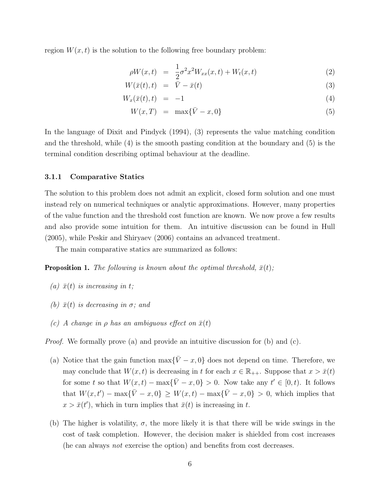region  $W(x, t)$  is the solution to the following free boundary problem:

<span id="page-5-0"></span>
$$
\rho W(x,t) = \frac{1}{2}\sigma^2 x^2 W_{xx}(x,t) + W_t(x,t) \tag{2}
$$

$$
W(\bar{x}(t),t) = \bar{V} - \bar{x}(t) \tag{3}
$$

$$
W_x(\bar{x}(t),t) = -1 \tag{4}
$$

$$
W(x,T) = \max\{\bar{V} - x, 0\} \tag{5}
$$

In the language of [Dixit and Pindyck](#page-19-11) [\(1994\)](#page-19-11), [\(3\)](#page-5-0) represents the value matching condition and the threshold, while [\(4\)](#page-5-0) is the smooth pasting condition at the boundary and [\(5\)](#page-5-0) is the terminal condition describing optimal behaviour at the deadline.

#### 3.1.1 Comparative Statics

The solution to this problem does not admit an explicit, closed form solution and one must instead rely on numerical techniques or analytic approximations. However, many properties of the value function and the threshold cost function are known. We now prove a few results and also provide some intuition for them. An intuitive discussion can be found in [Hull](#page-20-8) [\(2005\)](#page-20-8), while [Peskir and Shiryaev](#page-20-9) [\(2006\)](#page-20-9) contains an advanced treatment.

The main comparative statics are summarized as follows:

**Proposition 1.** The following is known about the optimal threshold,  $\bar{x}(t)$ ;

- (a)  $\bar{x}(t)$  is increasing in t;
- (b)  $\bar{x}(t)$  is decreasing in  $\sigma$ ; and
- (c) A change in  $\rho$  has an ambiguous effect on  $\bar{x}(t)$

*Proof.* We formally prove (a) and provide an intuitive discussion for (b) and (c).

- (a) Notice that the gain function  $\max{\{\bar{V} x, 0\}}$  does not depend on time. Therefore, we may conclude that  $W(x, t)$  is decreasing in t for each  $x \in \mathbb{R}_{++}$ . Suppose that  $x > \bar{x}(t)$ for some t so that  $W(x,t) - \max{\{\bar{V} - x, 0\}} > 0$ . Now take any  $t' \in [0, t)$ . It follows that  $W(x,t') - \max{\bar{V} - x, 0} \geq W(x,t) - \max{\bar{V} - x, 0} > 0$ , which implies that  $x > \bar{x}(t')$ , which in turn implies that  $\bar{x}(t)$  is increasing in t.
- (b) The higher is volatility,  $\sigma$ , the more likely it is that there will be wide swings in the cost of task completion. However, the decision maker is shielded from cost increases (he can always not exercise the option) and benefits from cost decreases.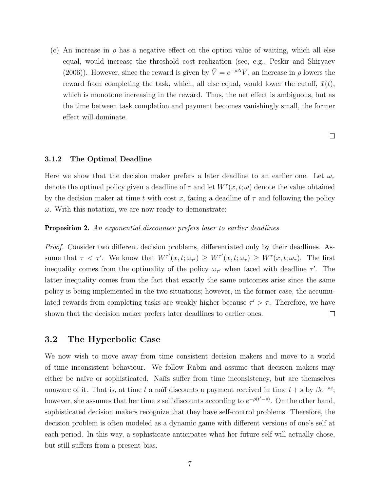(c) An increase in  $\rho$  has a negative effect on the option value of waiting, which all else equal, would increase the threshold cost realization (see, e.g., [Peskir and Shiryaev](#page-20-9) [\(2006\)](#page-20-9)). However, since the reward is given by  $\overline{V} = e^{-\rho \Delta} V$ , an increase in  $\rho$  lowers the reward from completing the task, which, all else equal, would lower the cutoff,  $\bar{x}(t)$ , which is monotone increasing in the reward. Thus, the net effect is ambiguous, but as the time between task completion and payment becomes vanishingly small, the former effect will dominate.

 $\Box$ 

#### 3.1.2 The Optimal Deadline

Here we show that the decision maker prefers a later deadline to an earlier one. Let  $\omega_{\tau}$ denote the optimal policy given a deadline of  $\tau$  and let  $W^{\tau}(x,t;\omega)$  denote the value obtained by the decision maker at time t with cost x, facing a deadline of  $\tau$  and following the policy  $\omega$ . With this notation, we are now ready to demonstrate:

#### <span id="page-6-0"></span>**Proposition 2.** An exponential discounter prefers later to earlier deadlines.

Proof. Consider two different decision problems, differentiated only by their deadlines. Assume that  $\tau < \tau'$ . We know that  $W^{\tau'}(x,t;\omega_{\tau'}) \geq W^{\tau'}(x,t;\omega_{\tau}) \geq W^{\tau}(x,t;\omega_{\tau})$ . The first inequality comes from the optimality of the policy  $\omega_{\tau}$  when faced with deadline  $\tau'$ . The latter inequality comes from the fact that exactly the same outcomes arise since the same policy is being implemented in the two situations; however, in the former case, the accumulated rewards from completing tasks are weakly higher because  $\tau' > \tau$ . Therefore, we have shown that the decision maker prefers later deadlines to earlier ones.  $\Box$ 

### 3.2 The Hyperbolic Case

We now wish to move away from time consistent decision makers and move to a world of time inconsistent behaviour. We follow Rabin and assume that decision makers may either be naïve or sophisticated. Naïfs suffer from time inconsistency, but are themselves unaware of it. That is, at time t a naïf discounts a payment received in time  $t + s$  by  $\beta e^{-\rho s}$ ; however, she assumes that her time s self discounts according to  $e^{-\rho(t'-s)}$ . On the other hand, sophisticated decision makers recognize that they have self-control problems. Therefore, the decision problem is often modeled as a dynamic game with different versions of one's self at each period. In this way, a sophisticate anticipates what her future self will actually chose, but still suffers from a present bias.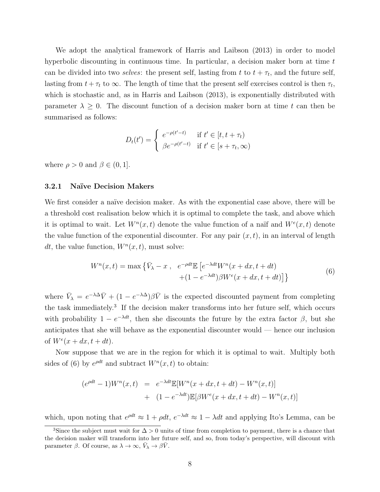We adopt the analytical framework of [Harris and Laibson](#page-19-1) [\(2013\)](#page-19-1) in order to model hyperbolic discounting in continuous time. In particular, a decision maker born at time t can be divided into two *selves*: the present self, lasting from t to  $t + \tau_t$ , and the future self, lasting from  $t + \tau_t$  to  $\infty$ . The length of time that the present self exercises control is then  $\tau_t$ , which is stochastic and, as in [Harris and Laibson](#page-19-1) [\(2013\)](#page-19-1), is exponentially distributed with parameter  $\lambda \geq 0$ . The discount function of a decision maker born at time t can then be summarised as follows:

$$
D_t(t') = \begin{cases} e^{-\rho(t'-t)} & \text{if } t' \in [t, t + \tau_t) \\ \beta e^{-\rho(t'-t)} & \text{if } t' \in [s + \tau_t, \infty) \end{cases}
$$

where  $\rho > 0$  and  $\beta \in (0, 1]$ .

#### 3.2.1 Na¨ıve Decision Makers

We first consider a naïve decision maker. As with the exponential case above, there will be a threshold cost realisation below which it is optimal to complete the task, and above which it is optimal to wait. Let  $W^n(x,t)$  denote the value function of a naïf and  $W^e(x,t)$  denote the value function of the exponential discounter. For any pair  $(x, t)$ , in an interval of length dt, the value function,  $W^n(x,t)$ , must solve:

<span id="page-7-1"></span>
$$
W^{n}(x,t) = \max \left\{ \bar{V}_{\lambda} - x , e^{-\rho dt} \mathbb{E} \left[ e^{-\lambda dt} W^{n}(x+dx, t+dt) + (1 - e^{-\lambda dt}) \beta W^{e}(x+dx, t+dt) \right] \right\}
$$
(6)

where  $\bar{V}_{\lambda} = e^{-\lambda \Delta} \bar{V} + (1 - e^{-\lambda \Delta}) \beta \bar{V}$  is the expected discounted payment from completing the task immediately.[3](#page-7-0) If the decision maker transforms into her future self, which occurs with probability  $1 - e^{-\lambda dt}$ , then she discounts the future by the extra factor  $\beta$ , but she anticipates that she will behave as the exponential discounter would — hence our inclusion of  $W<sup>e</sup>(x + dx, t + dt)$ .

Now suppose that we are in the region for which it is optimal to wait. Multiply both sides of [\(6\)](#page-7-1) by  $e^{\rho dt}$  and subtract  $W^n(x,t)$  to obtain:

$$
(e^{\rho dt} - 1)W^n(x, t) = e^{-\lambda dt} \mathbb{E}[W^n(x + dx, t + dt) - W^n(x, t)]
$$
  
+ 
$$
(1 - e^{-\lambda dt}) \mathbb{E}[\beta W^e(x + dx, t + dt) - W^n(x, t)]
$$

which, upon noting that  $e^{\rho dt} \approx 1 + \rho dt$ ,  $e^{-\lambda dt} \approx 1 - \lambda dt$  and applying Ito's Lemma, can be

<span id="page-7-0"></span><sup>&</sup>lt;sup>3</sup>Since the subject must wait for  $\Delta > 0$  units of time from completion to payment, there is a chance that the decision maker will transform into her future self, and so, from today's perspective, will discount with parameter  $\beta$ . Of course, as  $\lambda \to \infty$ ,  $\bar{V}_{\lambda} \to \beta \bar{V}$ .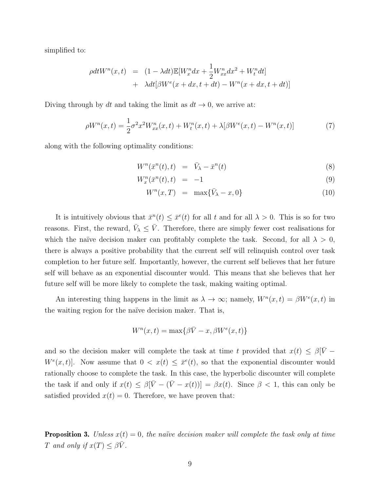simplified to:

$$
\rho dt W^n(x,t) = (1 - \lambda dt) \mathbb{E}[W_x^n dx + \frac{1}{2} W_{xx}^n dx^2 + W_t^n dt]
$$
  
+ 
$$
\lambda dt [\beta W^e(x + dx, t + dt) - W^n(x + dx, t + dt)]
$$

Diving through by dt and taking the limit as  $dt \to 0$ , we arrive at:

$$
\rho W^n(x,t) = \frac{1}{2}\sigma^2 x^2 W^n_{xx}(x,t) + W^n_t(x,t) + \lambda[\beta W^e(x,t) - W^n(x,t)]
$$
\n(7)

along with the following optimality conditions:

$$
W^n(\bar{x}^n(t),t) = \bar{V}_{\lambda} - \bar{x}^n(t) \tag{8}
$$

$$
W_x^n(\bar{x}^n(t),t) = -1 \tag{9}
$$

$$
W^n(x,T) = \max\{\bar{V}_{\lambda} - x, 0\} \tag{10}
$$

It is intuitively obvious that  $\bar{x}^n(t) \leq \bar{x}^e(t)$  for all t and for all  $\lambda > 0$ . This is so for two reasons. First, the reward,  $\bar{V}_{\lambda} \leq \bar{V}$ . Therefore, there are simply fewer cost realisations for which the naïve decision maker can profitably complete the task. Second, for all  $\lambda > 0$ , there is always a positive probability that the current self will relinquish control over task completion to her future self. Importantly, however, the current self believes that her future self will behave as an exponential discounter would. This means that she believes that her future self will be more likely to complete the task, making waiting optimal.

An interesting thing happens in the limit as  $\lambda \to \infty$ ; namely,  $W^n(x,t) = \beta W^e(x,t)$  in the waiting region for the naïve decision maker. That is,

$$
W^{n}(x,t) = \max\{\beta \bar{V} - x, \beta W^{e}(x,t)\}
$$

and so the decision maker will complete the task at time t provided that  $x(t) \leq \beta[\bar{V} W^e(x,t)$ . Now assume that  $0 < x(t) \leq \bar{x}^e(t)$ , so that the exponential discounter would rationally choose to complete the task. In this case, the hyperbolic discounter will complete the task if and only if  $x(t) \leq \beta[\bar{V} - (\bar{V} - x(t))] = \beta x(t)$ . Since  $\beta < 1$ , this can only be satisfied provided  $x(t) = 0$ . Therefore, we have proven that:

**Proposition 3.** Unless  $x(t) = 0$ , the naïve decision maker will complete the task only at time T and only if  $x(T) \leq \beta \overline{V}$ .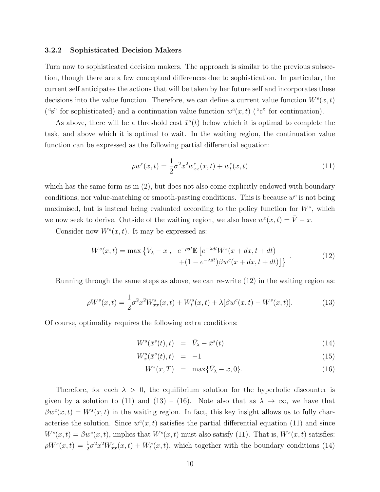#### 3.2.2 Sophisticated Decision Makers

Turn now to sophisticated decision makers. The approach is similar to the previous subsection, though there are a few conceptual differences due to sophistication. In particular, the current self anticipates the actions that will be taken by her future self and incorporates these decisions into the value function. Therefore, we can define a current value function  $W^s(x,t)$ ("s" for sophisticated) and a continuation value function  $w^c(x,t)$  ("c" for continuation).

As above, there will be a threshold cost  $\bar{x}^s(t)$  below which it is optimal to complete the task, and above which it is optimal to wait. In the waiting region, the continuation value function can be expressed as the following partial differential equation:

<span id="page-9-1"></span>
$$
\rho w^{c}(x,t) = \frac{1}{2}\sigma^{2} x^{2} w_{xx}^{c}(x,t) + w_{t}^{c}(x,t)
$$
\n(11)

which has the same form as in [\(2\)](#page-5-0), but does not also come explicitly endowed with boundary conditions, nor value-matching or smooth-pasting conditions. This is because  $w^c$  is not being maximised, but is instead being evaluated according to the policy function for  $W^s$ , which we now seek to derive. Outside of the waiting region, we also have  $w^c(x,t) = \overline{V} - x$ .

Consider now  $W^s(x,t)$ . It may be expressed as:

<span id="page-9-0"></span>
$$
W^{s}(x,t) = \max \left\{ \bar{V}_{\lambda} - x , e^{-\rho dt} \mathbb{E} \left[ e^{-\lambda dt} W^{s}(x+dx, t+dt) + (1 - e^{-\lambda dt}) \beta w^{c}(x+dx, t+dt) \right] \right\} \tag{12}
$$

Running through the same steps as above, we can re-write [\(12\)](#page-9-0) in the waiting region as:

<span id="page-9-2"></span>
$$
\rho W^s(x,t) = \frac{1}{2}\sigma^2 x^2 W^s_{xx}(x,t) + W^s_t(x,t) + \lambda[\beta w^c(x,t) - W^s(x,t)].
$$
\n(13)

Of course, optimality requires the following extra conditions:

<span id="page-9-3"></span>
$$
W^s(\bar{x}^s(t),t) = \bar{V}_{\lambda} - \bar{x}^s(t) \tag{14}
$$

$$
W_x^s(\bar{x}^s(t),t) = -1 \tag{15}
$$

$$
W^s(x,T) = \max{\{\bar{V}_{\lambda} - x, 0\}}.
$$
\n(16)

Therefore, for each  $\lambda > 0$ , the equilibrium solution for the hyperbolic discounter is given by a solution to [\(11\)](#page-9-1) and [\(13\)](#page-9-2) – [\(16\)](#page-9-3). Note also that as  $\lambda \to \infty$ , we have that  $\beta w^c(x,t) = W^s(x,t)$  in the waiting region. In fact, this key insight allows us to fully characterise the solution. Since  $w<sup>c</sup>(x,t)$  satisfies the partial differential equation [\(11\)](#page-9-1) and since  $W^s(x,t) = \beta w^c(x,t)$ , implies that  $W^s(x,t)$  must also satisfy [\(11\)](#page-9-1). That is,  $W^s(x,t)$  satisfies:  $\rho W^s(x,t) = \frac{1}{2}\sigma^2 x^2 W_{xx}^s(x,t) + W_t^s(x,t)$ , which together with the boundary conditions [\(14\)](#page-9-3)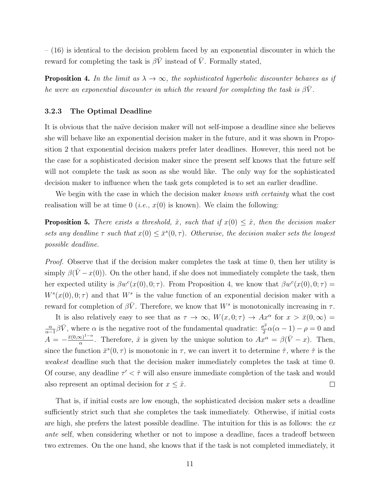$-$  [\(16\)](#page-9-3) is identical to the decision problem faced by an exponential discounter in which the reward for completing the task is  $\beta \bar{V}$  instead of  $\bar{V}$ . Formally stated,

<span id="page-10-0"></span>**Proposition 4.** In the limit as  $\lambda \to \infty$ , the sophisticated hyperbolic discounter behaves as if he were an exponential discounter in which the reward for completing the task is  $\beta \bar{V}$ .

#### 3.2.3 The Optimal Deadline

It is obvious that the naïve decision maker will not self-impose a deadline since she believes she will behave like an exponential decision maker in the future, and it was shown in Proposition [2](#page-6-0) that exponential decision makers prefer later deadlines. However, this need not be the case for a sophisticated decision maker since the present self knows that the future self will not complete the task as soon as she would like. The only way for the sophisticated decision maker to influence when the task gets completed is to set an earlier deadline.

We begin with the case in which the decision maker knows with certainty what the cost realisation will be at time 0 (*i.e.*,  $x(0)$  is known). We claim the following:

**Proposition 5.** There exists a threshold,  $\hat{x}$ , such that if  $x(0) \leq \hat{x}$ , then the decision maker sets any deadline  $\tau$  such that  $x(0) \leq \bar{x}^s(0, \tau)$ . Otherwise, the decision maker sets the longest possible deadline.

Proof. Observe that if the decision maker completes the task at time 0, then her utility is simply  $\beta(V-x(0))$ . On the other hand, if she does not immediately complete the task, then her expected utility is  $\beta w^c(x(0),0;\tau)$ . From Proposition [4,](#page-10-0) we know that  $\beta w^c(x(0),0;\tau)$  =  $W<sup>s</sup>(x(0),0;\tau)$  and that  $W<sup>s</sup>$  is the value function of an exponential decision maker with a reward for completion of  $\beta \bar{V}$ . Therefore, we know that  $W^s$  is monotonically increasing in  $\tau$ .

It is also relatively easy to see that as  $\tau \to \infty$ ,  $W(x, 0; \tau) \to Ax^{\alpha}$  for  $x > \bar{x}(0, \infty) =$  $\frac{\alpha}{\alpha-1}\beta\bar{V}$ , where  $\alpha$  is the negative root of the fundamental quadratic:  $\frac{\sigma^2}{2}$ α  $\frac{\sigma^2}{2}\alpha(\alpha-1)-\rho=0$  and  $A = -\frac{\bar{x}(0, \infty)^{1-\alpha}}{\alpha}$  $\frac{\infty}{\alpha}$ . Therefore,  $\hat{x}$  is given by the unique solution to  $Ax^{\alpha} = \beta(\bar{V} - x)$ . Then, since the function  $\bar{x}^s(0, \tau)$  is monotonic in  $\tau$ , we can invert it to determine  $\hat{\tau}$ , where  $\hat{\tau}$  is the weakest deadline such that the decision maker immediately completes the task at time 0. Of course, any deadline  $\tau' < \hat{\tau}$  will also ensure immediate completion of the task and would also represent an optimal decision for  $x \leq \hat{x}$ .  $\Box$ 

That is, if initial costs are low enough, the sophisticated decision maker sets a deadline sufficiently strict such that she completes the task immediately. Otherwise, if initial costs are high, she prefers the latest possible deadline. The intuition for this is as follows: the  $ex$ ante self, when considering whether or not to impose a deadline, faces a tradeoff between two extremes. On the one hand, she knows that if the task is not completed immediately, it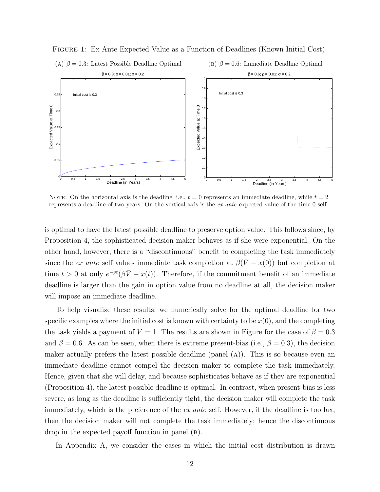

Figure 1: Ex Ante Expected Value as a Function of Deadlines (Known Initial Cost)

NOTE: On the horizontal axis is the deadline; i.e.,  $t = 0$  represents an immediate deadline, while  $t = 2$ represents a deadline of two years. On the vertical axis is the ex ante expected value of the time 0 self.

is optimal to have the latest possible deadline to preserve option value. This follows since, by Proposition [4,](#page-10-0) the sophisticated decision maker behaves as if she were exponential. On the other hand, however, there is a "discontinuous" benefit to completing the task immediately since the ex ante self values immediate task completion at  $\beta(\bar{V}-x(0))$  but completion at time  $t > 0$  at only  $e^{-\rho t}(\beta \bar{V} - x(t))$ . Therefore, if the commitment benefit of an immediate deadline is larger than the gain in option value from no deadline at all, the decision maker will impose an immediate deadline.

To help visualize these results, we numerically solve for the optimal deadline for two specific examples where the initial cost is known with certainty to be  $x(0)$ , and the completing the task yields a payment of  $\bar{V} = 1$ . The results are shown in Figure for the case of  $\beta = 0.3$ and  $\beta = 0.6$ . As can be seen, when there is extreme present-bias (i.e.,  $\beta = 0.3$ ), the decision maker actually prefers the latest possible deadline (panel (a)). This is so because even an immediate deadline cannot compel the decision maker to complete the task immediately. Hence, given that she will delay, and because sophisticates behave as if they are exponential (Proposition [4\)](#page-10-0), the latest possible deadline is optimal. In contrast, when present-bias is less severe, as long as the deadline is sufficiently tight, the decision maker will complete the task immediately, which is the preference of the ex ante self. However, if the deadline is too lax, then the decision maker will not complete the task immediately; hence the discontinuous drop in the expected payoff function in panel (b).

In Appendix [A,](#page-20-10) we consider the cases in which the initial cost distribution is drawn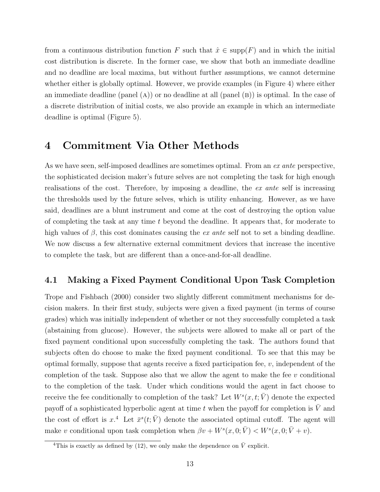from a continuous distribution function F such that  $\hat{x} \in \text{supp}(F)$  and in which the initial cost distribution is discrete. In the former case, we show that both an immediate deadline and no deadline are local maxima, but without further assumptions, we cannot determine whether either is globally optimal. However, we provide examples (in Figure [4\)](#page-22-0) where either an immediate deadline (panel  $(A)$ ) or no deadline at all (panel  $(B)$ ) is optimal. In the case of a discrete distribution of initial costs, we also provide an example in which an intermediate deadline is optimal (Figure [5\)](#page-23-0).

# <span id="page-12-0"></span>4 Commitment Via Other Methods

As we have seen, self-imposed deadlines are sometimes optimal. From an ex ante perspective, the sophisticated decision maker's future selves are not completing the task for high enough realisations of the cost. Therefore, by imposing a deadline, the ex ante self is increasing the thresholds used by the future selves, which is utility enhancing. However, as we have said, deadlines are a blunt instrument and come at the cost of destroying the option value of completing the task at any time t beyond the deadline. It appears that, for moderate to high values of  $\beta$ , this cost dominates causing the *ex ante* self not to set a binding deadline. We now discuss a few alternative external commitment devices that increase the incentive to complete the task, but are different than a once-and-for-all deadline.

### 4.1 Making a Fixed Payment Conditional Upon Task Completion

[Trope and Fishbach](#page-20-3) [\(2000\)](#page-20-3) consider two slightly different commitment mechanisms for decision makers. In their first study, subjects were given a fixed payment (in terms of course grades) which was initially independent of whether or not they successfully completed a task (abstaining from glucose). However, the subjects were allowed to make all or part of the fixed payment conditional upon successfully completing the task. The authors found that subjects often do choose to make the fixed payment conditional. To see that this may be optimal formally, suppose that agents receive a fixed participation fee, v, independent of the completion of the task. Suppose also that we allow the agent to make the fee  $v$  conditional to the completion of the task. Under which conditions would the agent in fact choose to receive the fee conditionally to completion of the task? Let  $W^s(x,t; \bar{V})$  denote the expected payoff of a sophisticated hyperbolic agent at time  $t$  when the payoff for completion is  $\bar{V}$  and the cost of effort is  $x^4$  $x^4$  Let  $\bar{x}^s(t; \bar{V})$  denote the associated optimal cutoff. The agent will make v conditional upon task completion when  $\beta v + W^s(x, 0; \bar{V}) < W^s(x, 0; \bar{V} + v)$ .

<span id="page-12-1"></span><sup>&</sup>lt;sup>4</sup>This is exactly as defined by [\(12\)](#page-9-0), we only make the dependence on  $\overline{V}$  explicit.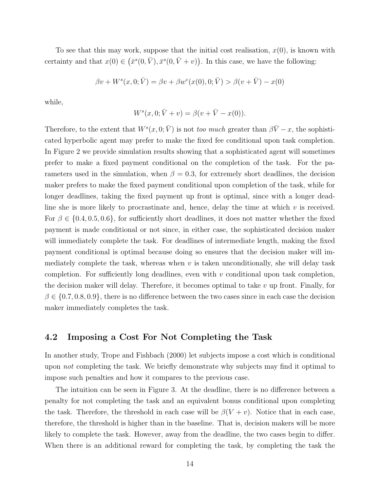To see that this may work, suppose that the initial cost realisation,  $x(0)$ , is known with certainty and that  $x(0) \in (\bar{x}^s(0,\bar{V}), \bar{x}^s(0,\bar{V}+v))$ . In this case, we have the following:

$$
\beta v + W^s(x, 0; \bar{V}) = \beta v + \beta w^c(x(0), 0; \bar{V}) > \beta(v + \bar{V}) - x(0)
$$

while,

$$
W^{s}(x, 0; \bar{V} + v) = \beta(v + \bar{V} - x(0)).
$$

Therefore, to the extent that  $W^s(x, 0; \bar{V})$  is not too much greater than  $\beta \bar{V} - x$ , the sophisticated hyperbolic agent may prefer to make the fixed fee conditional upon task completion. In Figure [2](#page-14-0) we provide simulation results showing that a sophisticated agent will sometimes prefer to make a fixed payment conditional on the completion of the task. For the parameters used in the simulation, when  $\beta = 0.3$ , for extremely short deadlines, the decision maker prefers to make the fixed payment conditional upon completion of the task, while for longer deadlines, taking the fixed payment up front is optimal, since with a longer deadline she is more likely to procrastinate and, hence, delay the time at which  $v$  is received. For  $\beta \in \{0.4, 0.5, 0.6\}$ , for sufficiently short deadlines, it does not matter whether the fixed payment is made conditional or not since, in either case, the sophisticated decision maker will immediately complete the task. For deadlines of intermediate length, making the fixed payment conditional is optimal because doing so ensures that the decision maker will immediately complete the task, whereas when  $v$  is taken unconditionally, she will delay task completion. For sufficiently long deadlines, even with  $v$  conditional upon task completion, the decision maker will delay. Therefore, it becomes optimal to take  $v$  up front. Finally, for  $\beta \in \{0.7, 0.8, 0.9\}$ , there is no difference between the two cases since in each case the decision maker immediately completes the task.

### 4.2 Imposing a Cost For Not Completing the Task

In another study, [Trope and Fishbach](#page-20-3) [\(2000\)](#page-20-3) let subjects impose a cost which is conditional upon *not* completing the task. We briefly demonstrate why subjects may find it optimal to impose such penalties and how it compares to the previous case.

The intuition can be seen in Figure [3.](#page-15-1) At the deadline, there is no difference between a penalty for not completing the task and an equivalent bonus conditional upon completing the task. Therefore, the threshold in each case will be  $\beta(V + v)$ . Notice that in each case, therefore, the threshold is higher than in the baseline. That is, decision makers will be more likely to complete the task. However, away from the deadline, the two cases begin to differ. When there is an additional reward for completing the task, by completing the task the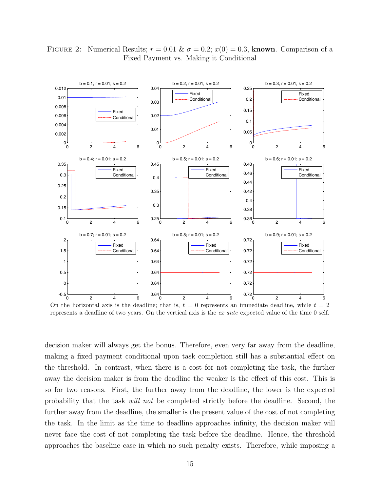

<span id="page-14-0"></span>FIGURE 2: Numerical Results;  $r = 0.01 \& \sigma = 0.2$ ;  $x(0) = 0.3$ , known. Comparison of a Fixed Payment vs. Making it Conditional

On the horizontal axis is the deadline; that is,  $t = 0$  represents an immediate deadline, while  $t = 2$ represents a deadline of two years. On the vertical axis is the ex ante expected value of the time 0 self.

decision maker will always get the bonus. Therefore, even very far away from the deadline, making a fixed payment conditional upon task completion still has a substantial effect on the threshold. In contrast, when there is a cost for not completing the task, the further away the decision maker is from the deadline the weaker is the effect of this cost. This is so for two reasons. First, the further away from the deadline, the lower is the expected probability that the task will not be completed strictly before the deadline. Second, the further away from the deadline, the smaller is the present value of the cost of not completing the task. In the limit as the time to deadline approaches infinity, the decision maker will never face the cost of not completing the task before the deadline. Hence, the threshold approaches the baseline case in which no such penalty exists. Therefore, while imposing a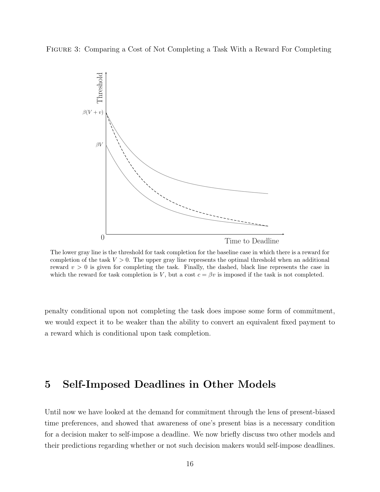<span id="page-15-1"></span>Figure 3: Comparing a Cost of Not Completing a Task With a Reward For Completing



The lower gray line is the threshold for task completion for the baseline case in which there is a reward for completion of the task  $V > 0$ . The upper gray line represents the optimal threshold when an additional reward  $v > 0$  is given for completing the task. Finally, the dashed, black line represents the case in which the reward for task completion is V, but a cost  $c = \beta v$  is imposed if the task is not completed.

2 penalty conditional upon not completing the task does impose some form of commitment, we would expect it to be weaker than the ability to convert an equivalent fixed payment to a reward which is conditional upon task completion.

# <span id="page-15-0"></span>5 Self-Imposed Deadlines in Other Models

Until now we have looked at the demand for commitment through the lens of present-biased time preferences, and showed that awareness of one's present bias is a necessary condition for a decision maker to self-impose a deadline. We now briefly discuss two other models and their predictions regarding whether or not such decision makers would self-impose deadlines.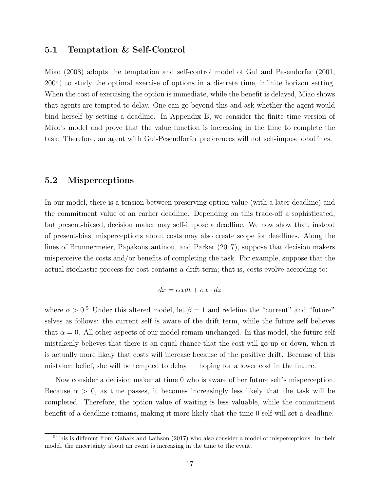### 5.1 Temptation & Self-Control

[Miao](#page-20-11) [\(2008\)](#page-20-11) adopts the temptation and self-control model of [Gul and Pesendorfer](#page-19-3) [\(2001,](#page-19-3) [2004\)](#page-19-4) to study the optimal exercise of options in a discrete time, infinite horizon setting. When the cost of exercising the option is immediate, while the benefit is delayed, Miao shows that agents are tempted to delay. One can go beyond this and ask whether the agent would bind herself by setting a deadline. In Appendix [B,](#page-23-1) we consider the finite time version of Miao's model and prove that the value function is increasing in the time to complete the task. Therefore, an agent with Gul-Pesendforfer preferences will not self-impose deadlines.

### 5.2 Misperceptions

In our model, there is a tension between preserving option value (with a later deadline) and the commitment value of an earlier deadline. Depending on this trade-off a sophisticated, but present-biased, decision maker may self-impose a deadline. We now show that, instead of present-bias, misperceptions about costs may also create scope for deadlines. Along the lines of [Brunnermeier, Papakonstantinou, and Parker](#page-18-5) [\(2017\)](#page-18-5), suppose that decision makers misperceive the costs and/or benefits of completing the task. For example, suppose that the actual stochastic process for cost contains a drift term; that is, costs evolve according to:

$$
dx = \alpha x dt + \sigma x \cdot dz
$$

where  $\alpha > 0.5$  $\alpha > 0.5$  Under this altered model, let  $\beta = 1$  and redefine the "current" and "future" selves as follows: the current self is aware of the drift term, while the future self believes that  $\alpha = 0$ . All other aspects of our model remain unchanged. In this model, the future self mistakenly believes that there is an equal chance that the cost will go up or down, when it is actually more likely that costs will increase because of the positive drift. Because of this mistaken belief, she will be tempted to delay — hoping for a lower cost in the future.

Now consider a decision maker at time 0 who is aware of her future self's misperception. Because  $\alpha > 0$ , as time passes, it becomes increasingly less likely that the task will be completed. Therefore, the option value of waiting is less valuable, while the commitment benefit of a deadline remains, making it more likely that the time 0 self will set a deadline.

<span id="page-16-0"></span> $5$ This is different from [Gabaix and Laibson](#page-19-2) [\(2017\)](#page-19-2) who also consider a model of misperceptions. In their model, the uncertainty about an event is increasing in the time to the event.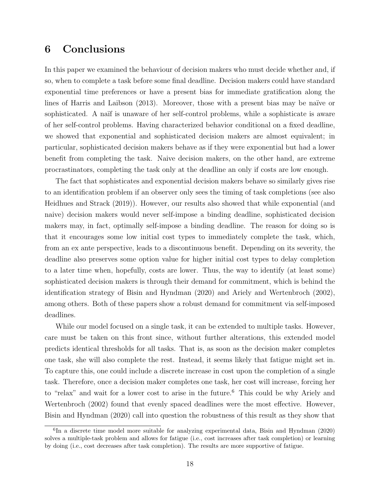# <span id="page-17-0"></span>6 Conclusions

In this paper we examined the behaviour of decision makers who must decide whether and, if so, when to complete a task before some final deadline. Decision makers could have standard exponential time preferences or have a present bias for immediate gratification along the lines of [Harris and Laibson](#page-19-1) [\(2013\)](#page-19-1). Moreover, those with a present bias may be naïve or sophisticated. A naïf is unaware of her self-control problems, while a sophisticate is aware of her self-control problems. Having characterized behavior conditional on a fixed deadline, we showed that exponential and sophisticated decision makers are almost equivalent; in particular, sophisticated decision makers behave as if they were exponential but had a lower benefit from completing the task. Naive decision makers, on the other hand, are extreme procrastinators, completing the task only at the deadline an only if costs are low enough.

The fact that sophisticates and exponential decision makers behave so similarly gives rise to an identification problem if an observer only sees the timing of task completions (see also [Heidhues and Strack](#page-19-10) [\(2019\)](#page-19-10)). However, our results also showed that while exponential (and naive) decision makers would never self-impose a binding deadline, sophisticated decision makers may, in fact, optimally self-impose a binding deadline. The reason for doing so is that it encourages some low initial cost types to immediately complete the task, which, from an ex ante perspective, leads to a discontinuous benefit. Depending on its severity, the deadline also preserves some option value for higher initial cost types to delay completion to a later time when, hopefully, costs are lower. Thus, the way to identify (at least some) sophisticated decision makers is through their demand for commitment, which is behind the identification strategy of [Bisin and Hyndman](#page-18-2) [\(2020\)](#page-18-2) and [Ariely and Wertenbroch](#page-18-0) [\(2002\)](#page-18-0), among others. Both of these papers show a robust demand for commitment via self-imposed deadlines.

While our model focused on a single task, it can be extended to multiple tasks. However, care must be taken on this front since, without further alterations, this extended model predicts identical thresholds for all tasks. That is, as soon as the decision maker completes one task, she will also complete the rest. Instead, it seems likely that fatigue might set in. To capture this, one could include a discrete increase in cost upon the completion of a single task. Therefore, once a decision maker completes one task, her cost will increase, forcing her to "relax" and wait for a lower cost to arise in the future.<sup>[6](#page-17-1)</sup> This could be why [Ariely and](#page-18-0) [Wertenbroch](#page-18-0) [\(2002\)](#page-18-0) found that evenly spaced deadlines were the most effective. However, [Bisin and Hyndman](#page-18-2) [\(2020\)](#page-18-2) call into question the robustness of this result as they show that

<span id="page-17-1"></span><sup>&</sup>lt;sup>6</sup>In a discrete time model more suitable for analyzing experimental data, [Bisin and Hyndman](#page-18-2) [\(2020\)](#page-18-2) solves a multiple-task problem and allows for fatigue (i.e., cost increases after task completion) or learning by doing (i.e., cost decreases after task completion). The results are more supportive of fatigue.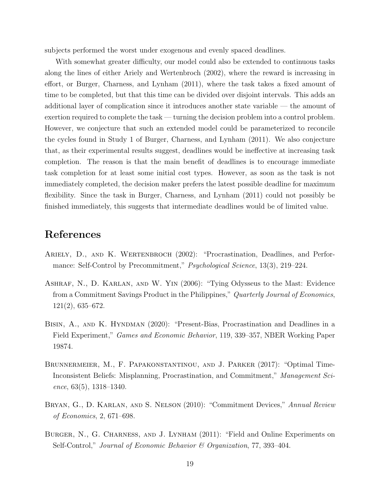subjects performed the worst under exogenous and evenly spaced deadlines.

With somewhat greater difficulty, our model could also be extended to continuous tasks along the lines of either [Ariely and Wertenbroch](#page-18-0) [\(2002\)](#page-18-0), where the reward is increasing in effort, or [Burger, Charness, and Lynham](#page-18-1) [\(2011\)](#page-18-1), where the task takes a fixed amount of time to be completed, but that this time can be divided over disjoint intervals. This adds an additional layer of complication since it introduces another state variable — the amount of exertion required to complete the task — turning the decision problem into a control problem. However, we conjecture that such an extended model could be parameterized to reconcile the cycles found in Study 1 of [Burger, Charness, and Lynham](#page-18-1) [\(2011\)](#page-18-1). We also conjecture that, as their experimental results suggest, deadlines would be ineffective at increasing task completion. The reason is that the main benefit of deadlines is to encourage immediate task completion for at least some initial cost types. However, as soon as the task is not immediately completed, the decision maker prefers the latest possible deadline for maximum flexibility. Since the task in [Burger, Charness, and Lynham](#page-18-1) [\(2011\)](#page-18-1) could not possibly be finished immediately, this suggests that intermediate deadlines would be of limited value.

# References

- <span id="page-18-0"></span>ARIELY, D., AND K. WERTENBROCH (2002): "Procrastination, Deadlines, and Performance: Self-Control by Precommitment," *Psychological Science*, 13(3), 219–224.
- <span id="page-18-3"></span>Ashraf, N., D. Karlan, and W. Yin (2006): "Tying Odysseus to the Mast: Evidence from a Commitment Savings Product in the Philippines," Quarterly Journal of Economics, 121(2), 635–672.
- <span id="page-18-2"></span>Bisin, A., and K. Hyndman (2020): "Present-Bias, Procrastination and Deadlines in a Field Experiment," Games and Economic Behavior, 119, 339–357, NBER Working Paper 19874.
- <span id="page-18-5"></span>Brunnermeier, M., F. Papakonstantinou, and J. Parker (2017): "Optimal Time-Inconsistent Beliefs: Misplanning, Procrastination, and Commitment," Management Science,  $63(5)$ ,  $1318-1340$ .
- <span id="page-18-4"></span>Bryan, G., D. Karlan, and S. Nelson (2010): "Commitment Devices," Annual Review of Economics, 2, 671–698.
- <span id="page-18-1"></span>BURGER, N., G. CHARNESS, AND J. LYNHAM (2011): "Field and Online Experiments on Self-Control," Journal of Economic Behavior & Organization, 77, 393–404.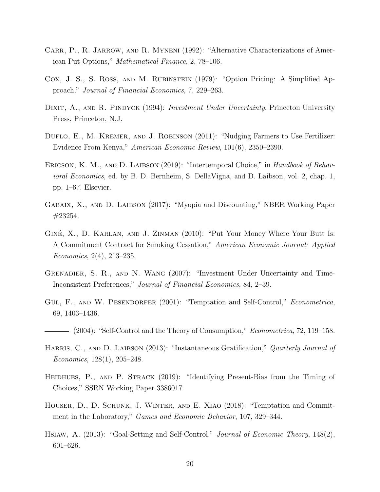- <span id="page-19-12"></span>CARR, P., R. JARROW, AND R. MYNENI (1992): "Alternative Characterizations of American Put Options," Mathematical Finance, 2, 78–106.
- <span id="page-19-13"></span>Cox, J. S., S. Ross, and M. Rubinstein (1979): "Option Pricing: A Simplified Approach," Journal of Financial Economics, 7, 229–263.
- <span id="page-19-11"></span>DIXIT, A., AND R. PINDYCK (1994): *Investment Under Uncertainty*. Princeton University Press, Princeton, N.J.
- <span id="page-19-6"></span>DUFLO, E., M. KREMER, AND J. ROBINSON (2011): "Nudging Farmers to Use Fertilizer: Evidence From Kenya," American Economic Review, 101(6), 2350–2390.
- <span id="page-19-9"></span>ERICSON, K. M., AND D. LAIBSON (2019): "Intertemporal Choice," in Handbook of Behavioral Economics, ed. by B. D. Bernheim, S. DellaVigna, and D. Laibson, vol. 2, chap. 1, pp. 1–67. Elsevier.
- <span id="page-19-2"></span>Gabaix, X., and D. Laibson (2017): "Myopia and Discounting," NBER Working Paper #23254.
- <span id="page-19-0"></span>GINÉ, X., D. KARLAN, AND J. ZINMAN (2010): "Put Your Money Where Your Butt Is: A Commitment Contract for Smoking Cessation," American Economic Journal: Applied Economics, 2(4), 213–235.
- <span id="page-19-8"></span>Grenadier, S. R., and N. Wang (2007): "Investment Under Uncertainty and Time-Inconsistent Preferences," Journal of Financial Economics, 84, 2–39.
- <span id="page-19-3"></span>GUL, F., AND W. PESENDORFER (2001): "Temptation and Self-Control," *Econometrica*, 69, 1403–1436.
- <span id="page-19-4"></span> $-$  (2004): "Self-Control and the Theory of Consumption," *Econometrica*, 72, 119–158.
- <span id="page-19-1"></span>HARRIS, C., AND D. LAIBSON (2013): "Instantaneous Gratification," Quarterly Journal of Economics, 128(1), 205–248.
- <span id="page-19-10"></span>HEIDHUES, P., AND P. STRACK (2019): "Identifying Present-Bias from the Timing of Choices," SSRN Working Paper 3386017.
- <span id="page-19-5"></span>Houser, D., D. Schunk, J. Winter, and E. Xiao (2018): "Temptation and Commitment in the Laboratory," Games and Economic Behavior, 107, 329–344.
- <span id="page-19-7"></span>Hsiaw, A. (2013): "Goal-Setting and Self-Control," Journal of Economic Theory, 148(2), 601–626.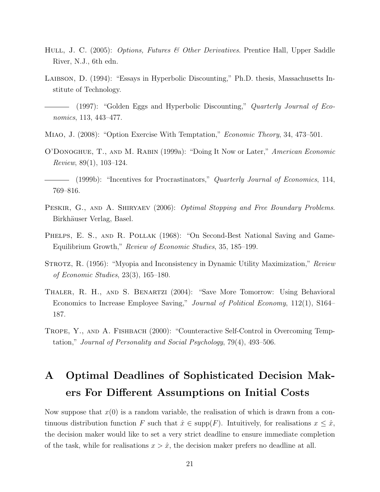- <span id="page-20-8"></span>HULL, J. C. (2005): *Options, Futures & Other Derivatives*. Prentice Hall, Upper Saddle River, N.J., 6th edn.
- <span id="page-20-1"></span>Laibson, D. (1994): "Essays in Hyperbolic Discounting," Ph.D. thesis, Massachusetts Institute of Technology.
- <span id="page-20-5"></span> $-$  (1997): "Golden Eggs and Hyperbolic Discounting," Quarterly Journal of Economics, 113, 443–477.
- <span id="page-20-11"></span>Miao, J. (2008): "Option Exercise With Temptation," Economic Theory, 34, 473–501.
- <span id="page-20-6"></span>O'Donoghue, T., and M. Rabin (1999a): "Doing It Now or Later," American Economic Review, 89(1), 103–124.

<span id="page-20-2"></span> $-$  (1999b): "Incentives for Procrastinators," Quarterly Journal of Economics, 114, 769–816.

- <span id="page-20-9"></span>PESKIR, G., AND A. SHIRYAEV (2006): *Optimal Stopping and Free Boundary Problems*. Birkhäuser Verlag, Basel.
- <span id="page-20-0"></span>PHELPS, E. S., AND R. POLLAK (1968): "On Second-Best National Saving and Game-Equilibrium Growth," Review of Economic Studies, 35, 185–199.
- <span id="page-20-4"></span>STROTZ, R. (1956): "Myopia and Inconsistency in Dynamic Utility Maximization," Review of Economic Studies, 23(3), 165–180.
- <span id="page-20-7"></span>Thaler, R. H., and S. Benartzi (2004): "Save More Tomorrow: Using Behavioral Economics to Increase Employee Saving," Journal of Political Economy, 112(1), S164– 187.
- <span id="page-20-3"></span>Trope, Y., and A. Fishbach (2000): "Counteractive Self-Control in Overcoming Temptation," Journal of Personality and Social Psychology, 79(4), 493–506.

# <span id="page-20-10"></span>A Optimal Deadlines of Sophisticated Decision Makers For Different Assumptions on Initial Costs

Now suppose that  $x(0)$  is a random variable, the realisation of which is drawn from a continuous distribution function F such that  $\hat{x} \in \text{supp}(F)$ . Intuitively, for realisations  $x \leq \hat{x}$ , the decision maker would like to set a very strict deadline to ensure immediate completion of the task, while for realisations  $x > \hat{x}$ , the decision maker prefers no deadline at all.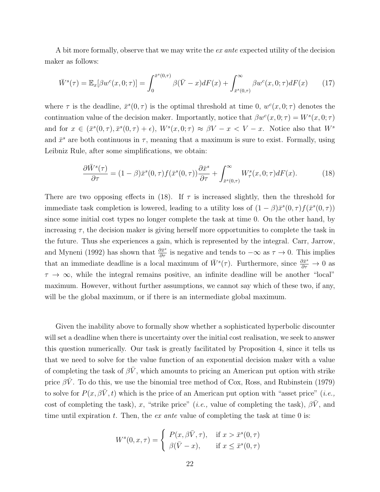A bit more formally, observe that we may write the *ex ante* expected utility of the decision maker as follows:

$$
\bar{W}^s(\tau) = \mathbb{E}_x[\beta w^c(x, 0; \tau)] = \int_0^{\bar{x}^s(0, \tau)} \beta(\bar{V} - x) dF(x) + \int_{\bar{x}^s(0, \tau)}^{\infty} \beta w^c(x, 0; \tau) dF(x) \tag{17}
$$

where  $\tau$  is the deadline,  $\bar{x}^s(0,\tau)$  is the optimal threshold at time 0,  $w^c(x,0;\tau)$  denotes the continuation value of the decision maker. Importantly, notice that  $\beta w^c(x,0;\tau) = W^s(x,0;\tau)$ and for  $x \in (\bar{x}^s(0, \tau), \bar{x}^s(0, \tau) + \epsilon)$ ,  $W^s(x, 0; \tau) \approx \beta V - x < V - x$ . Notice also that  $W^s$ and  $\bar{x}^s$  are both continuous in  $\tau$ , meaning that a maximum is sure to exist. Formally, using Leibniz Rule, after some simplifications, we obtain:

<span id="page-21-0"></span>
$$
\frac{\partial \bar{W}^s(\tau)}{\partial \tau} = (1 - \beta)\bar{x}^s(0, \tau) f(\bar{x}^s(0, \tau)) \frac{\partial \bar{x}^s}{\partial \tau} + \int_{\bar{x}^s(0, \tau)}^{\infty} W^s_{\tau}(x, 0; \tau) dF(x).
$$
 (18)

There are two opposing effects in [\(18\)](#page-21-0). If  $\tau$  is increased slightly, then the threshold for immediate task completion is lowered, leading to a utility loss of  $(1 - \beta)\bar{x}^s(0, \tau) f(\bar{x}^s(0, \tau))$ since some initial cost types no longer complete the task at time 0. On the other hand, by increasing  $\tau$ , the decision maker is giving herself more opportunities to complete the task in the future. Thus she experiences a gain, which is represented by the integral. [Carr, Jarrow,](#page-19-12) [and Myneni](#page-19-12) [\(1992\)](#page-19-12) has shown that  $\frac{\partial \bar{x}^s}{\partial \tau}$  is negative and tends to  $-\infty$  as  $\tau \to 0$ . This implies that an immediate deadline is a local maximum of  $\bar{W}^s(\tau)$ . Furthermore, since  $\frac{\partial \bar{x}^s}{\partial \tau} \to 0$  as  $\tau \to \infty$ , while the integral remains positive, an infinite deadline will be another "local" maximum. However, without further assumptions, we cannot say which of these two, if any, will be the global maximum, or if there is an intermediate global maximum.

Given the inability above to formally show whether a sophisticated hyperbolic discounter will set a deadline when there is uncertainty over the initial cost realisation, we seek to answer this question numerically. Our task is greatly facilitated by Proposition [4,](#page-10-0) since it tells us that we need to solve for the value function of an exponential decision maker with a value of completing the task of  $\beta \bar{V}$ , which amounts to pricing an American put option with strike price  $\beta \bar{V}$ . To do this, we use the binomial tree method of [Cox, Ross, and Rubinstein](#page-19-13) [\(1979\)](#page-19-13) to solve for  $P(x, \beta \bar{V}, t)$  which is the price of an American put option with "asset price" (*i.e.*, cost of completing the task), x, "strike price" (i.e., value of completing the task),  $\beta \bar{V}$ , and time until expiration t. Then, the ex ante value of completing the task at time  $0$  is:

$$
W^{s}(0, x, \tau) = \begin{cases} P(x, \beta \bar{V}, \tau), & \text{if } x > \bar{x}^{s}(0, \tau) \\ \beta(\bar{V} - x), & \text{if } x \leq \bar{x}^{s}(0, \tau) \end{cases}
$$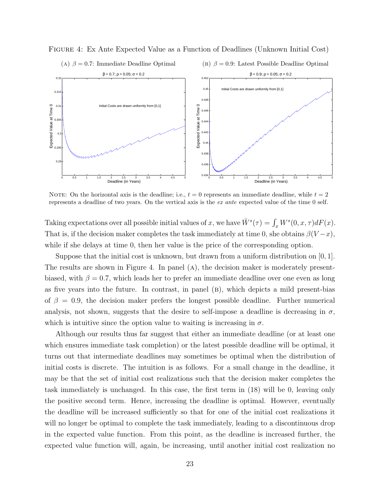

<span id="page-22-0"></span>Figure 4: Ex Ante Expected Value as a Function of Deadlines (Unknown Initial Cost)

NOTE: On the horizontal axis is the deadline; i.e.,  $t = 0$  represents an immediate deadline, while  $t = 2$ represents a deadline of two years. On the vertical axis is the ex ante expected value of the time 0 self.

Taking expectations over all possible initial values of x, we have  $\bar{W}^s(\tau) = \int_x W^s(0, x, \tau) dF(x)$ . That is, if the decision maker completes the task immediately at time 0, she obtains  $\beta(V-x)$ . while if she delays at time 0, then her value is the price of the corresponding option.

Suppose that the initial cost is unknown, but drawn from a uniform distribution on  $[0, 1]$ . The results are shown in Figure [4.](#page-22-0) In panel (a), the decision maker is moderately presentbiased, with  $\beta = 0.7$ , which leads her to prefer an immediate deadline over one even as long as five years into the future. In contrast, in panel (B), which depicts a mild present-bias of  $\beta = 0.9$ , the decision maker prefers the longest possible deadline. Further numerical analysis, not shown, suggests that the desire to self-impose a deadline is decreasing in  $\sigma$ , which is intuitive since the option value to waiting is increasing in  $\sigma$ .

Although our results thus far suggest that either an immediate deadline (or at least one which ensures immediate task completion) or the latest possible deadline will be optimal, it turns out that intermediate deadlines may sometimes be optimal when the distribution of initial costs is discrete. The intuition is as follows. For a small change in the deadline, it may be that the set of initial cost realizations such that the decision maker completes the task immediately is unchanged. In this case, the first term in [\(18\)](#page-21-0) will be 0, leaving only the positive second term. Hence, increasing the deadline is optimal. However, eventually the deadline will be increased sufficiently so that for one of the initial cost realizations it will no longer be optimal to complete the task immediately, leading to a discontinuous drop in the expected value function. From this point, as the deadline is increased further, the expected value function will, again, be increasing, until another initial cost realization no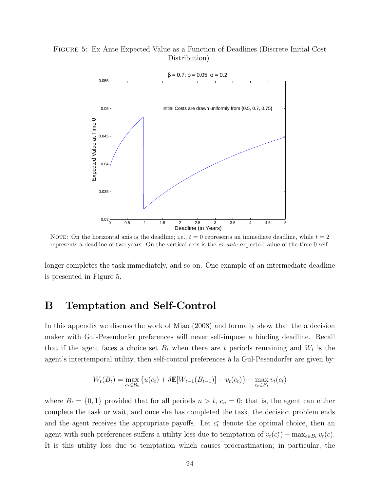### <span id="page-23-0"></span>Figure 5: Ex Ante Expected Value as a Function of Deadlines (Discrete Initial Cost Distribution)



NOTE: On the horizontal axis is the deadline; i.e.,  $t = 0$  represents an immediate deadline, while  $t = 2$ represents a deadline of two years. On the vertical axis is the ex ante expected value of the time 0 self.

longer completes the task immediately, and so on. One example of an intermediate deadline is presented in Figure [5.](#page-23-0)

# <span id="page-23-1"></span>B Temptation and Self-Control

In this appendix we discuss the work of [Miao](#page-20-11) [\(2008\)](#page-20-11) and formally show that the a decision maker with Gul-Pesendorfer preferences will never self-impose a binding deadline. Recall that if the agent faces a choice set  $B_t$  when there are t periods remaining and  $W_t$  is the agent's intertemporal utility, then self-control preferences à la Gul-Pesendorfer are given by:

$$
W_t(B_t) = \max_{c_t \in B_t} \{ u(c_t) + \delta \mathbb{E}[W_{t-1}(B_{t-1})] + v_t(c_t) \} - \max_{c_t \in B_t} v_t(c_t)
$$

where  $B_t = \{0, 1\}$  provided that for all periods  $n > t$ ,  $c_n = 0$ ; that is, the agent can either complete the task or wait, and once she has completed the task, the decision problem ends and the agent receives the appropriate payoffs. Let  $c_t^*$  denote the optimal choice, then an agent with such preferences suffers a utility loss due to temptation of  $v_t(c_t^*) - \max_{c \in B_t} v_t(c)$ . It is this utility loss due to temptation which causes procrastination; in particular, the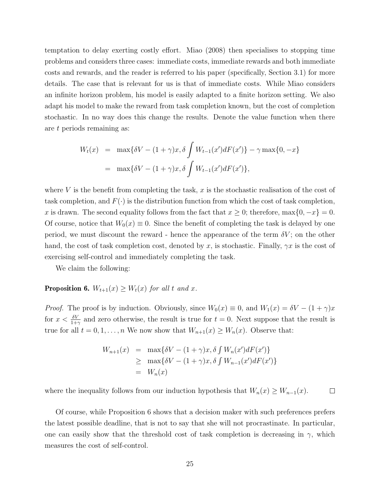temptation to delay exerting costly effort. [Miao](#page-20-11) [\(2008\)](#page-20-11) then specialises to stopping time problems and considers three cases: immediate costs, immediate rewards and both immediate costs and rewards, and the reader is referred to his paper (specifically, Section 3.1) for more details. The case that is relevant for us is that of immediate costs. While Miao considers an infinite horizon problem, his model is easily adapted to a finite horizon setting. We also adapt his model to make the reward from task completion known, but the cost of completion stochastic. In no way does this change the results. Denote the value function when there are t periods remaining as:

$$
W_t(x) = \max\{\delta V - (1+\gamma)x, \delta \int W_{t-1}(x')dF(x')\} - \gamma \max\{0, -x\}
$$
  
= 
$$
\max\{\delta V - (1+\gamma)x, \delta \int W_{t-1}(x')dF(x')\},
$$

where  $V$  is the benefit from completing the task,  $x$  is the stochastic realisation of the cost of task completion, and  $F(\cdot)$  is the distribution function from which the cost of task completion, x is drawn. The second equality follows from the fact that  $x \ge 0$ ; therefore, max $\{0, -x\} = 0$ . Of course, notice that  $W_0(x) \equiv 0$ . Since the benefit of completing the task is delayed by one period, we must discount the reward - hence the appearance of the term  $\delta V$ ; on the other hand, the cost of task completion cost, denoted by x, is stochastic. Finally,  $\gamma x$  is the cost of exercising self-control and immediately completing the task.

We claim the following:

### <span id="page-24-0"></span>**Proposition 6.**  $W_{t+1}(x) \geq W_t(x)$  for all t and x.

*Proof.* The proof is by induction. Obviously, since  $W_0(x) \equiv 0$ , and  $W_1(x) = \delta V - (1 + \gamma)x$ for  $x < \frac{\delta V}{1+\gamma}$  and zero otherwise, the result is true for  $t = 0$ . Next suppose that the result is true for all  $t = 0, 1, ..., n$  We now show that  $W_{n+1}(x) \geq W_n(x)$ . Observe that:

$$
W_{n+1}(x) = \max\{\delta V - (1+\gamma)x, \delta \int W_n(x')dF(x')\}
$$
  
\n
$$
\geq \max\{\delta V - (1+\gamma)x, \delta \int W_{n-1}(x')dF(x')\}
$$
  
\n
$$
= W_n(x)
$$

where the inequality follows from our induction hypothesis that  $W_n(x) \geq W_{n-1}(x)$ .  $\Box$ 

Of course, while Proposition [6](#page-24-0) shows that a decision maker with such preferences prefers the latest possible deadline, that is not to say that she will not procrastinate. In particular, one can easily show that the threshold cost of task completion is decreasing in  $\gamma$ , which measures the cost of self-control.